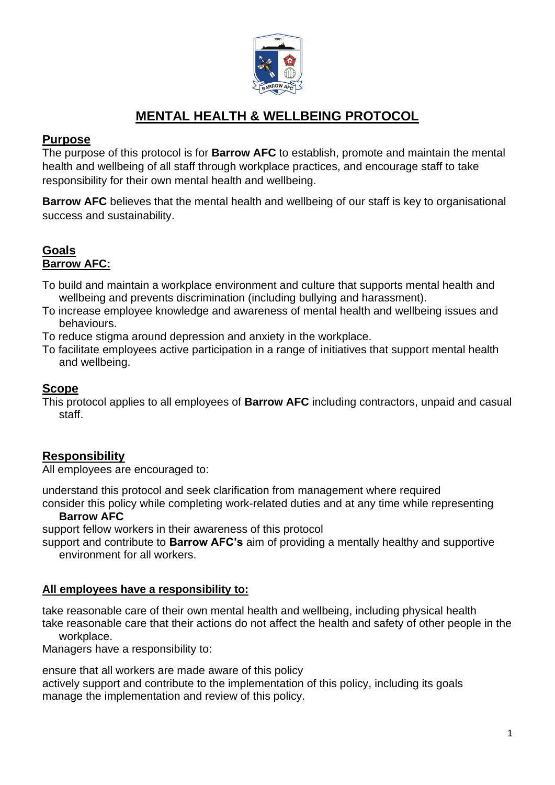

# **MENTAL HEALTH & WELLBEING PROTOCOL**

# **Purpose**

The purpose of this protocol is for **Barrow AFC** to establish, promote and maintain the mental health and wellbeing of all staff through workplace practices, and encourage staff to take responsibility for their own mental health and wellbeing.

**Barrow AFC** believes that the mental health and wellbeing of our staff is key to organisational success and sustainability.

# **Goals Barrow AFC:**

- To build and maintain a workplace environment and culture that supports mental health and wellbeing and prevents discrimination (including bullying and harassment).
- To increase employee knowledge and awareness of mental health and wellbeing issues and behaviours.
- To reduce stigma around depression and anxiety in the workplace.
- To facilitate employees active participation in a range of initiatives that support mental health and wellbeing.

## **Scope**

This protocol applies to all employees of **Barrow AFC** including contractors, unpaid and casual staff.

# **Responsibility**

All employees are encouraged to:

understand this protocol and seek clarification from management where required consider this policy while completing work-related duties and at any time while representing

#### **Barrow AFC**

support fellow workers in their awareness of this protocol

support and contribute to **Barrow AFC's** aim of providing a mentally healthy and supportive environment for all workers.

#### **All employees have a responsibility to:**

take reasonable care of their own mental health and wellbeing, including physical health take reasonable care that their actions do not affect the health and safety of other people in the

#### workplace.

Managers have a responsibility to:

ensure that all workers are made aware of this policy

actively support and contribute to the implementation of this policy, including its goals manage the implementation and review of this policy.